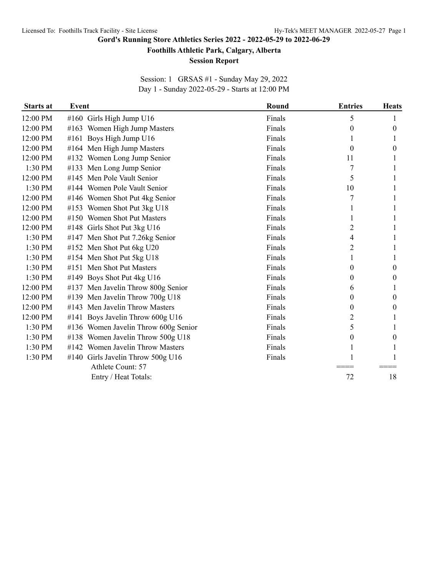**Gord's Running Store Athletics Series 2022 - 2022-05-29 to 2022-06-29**

**Foothills Athletic Park, Calgary, Alberta**

## **Session Report**

Session: 1 GRSAS #1 - Sunday May 29, 2022 Day 1 - Sunday 2022-05-29 - Starts at 12:00 PM

| <b>Starts at</b> | <b>Event</b> |                                      | Round  | <b>Entries</b> | <b>Heats</b> |
|------------------|--------------|--------------------------------------|--------|----------------|--------------|
| 12:00 PM         |              | #160 Girls High Jump U16             | Finals | 5              |              |
| 12:00 PM         |              | #163 Women High Jump Masters         | Finals | 0              | 0            |
| 12:00 PM         |              | #161 Boys High Jump U16              | Finals |                |              |
| 12:00 PM         |              | #164 Men High Jump Masters           | Finals | $\theta$       | 0            |
| 12:00 PM         |              | #132 Women Long Jump Senior          | Finals | 11             |              |
| 1:30 PM          |              | #133 Men Long Jump Senior            | Finals | 7              |              |
| 12:00 PM         |              | #145 Men Pole Vault Senior           | Finals | 5              |              |
| 1:30 PM          |              | #144 Women Pole Vault Senior         | Finals | 10             |              |
| 12:00 PM         |              | #146 Women Shot Put 4kg Senior       | Finals | 7              |              |
| 12:00 PM         |              | #153 Women Shot Put 3kg U18          | Finals |                |              |
| 12:00 PM         |              | #150 Women Shot Put Masters          | Finals |                |              |
| 12:00 PM         |              | #148 Girls Shot Put 3kg U16          | Finals | 2              |              |
| $1:30$ PM        |              | #147 Men Shot Put 7.26kg Senior      | Finals | 4              |              |
| 1:30 PM          |              | #152 Men Shot Put 6kg U20            | Finals | 2              |              |
| 1:30 PM          |              | #154 Men Shot Put 5kg U18            | Finals |                |              |
| 1:30 PM          |              | #151 Men Shot Put Masters            | Finals | 0              | 0            |
| 1:30 PM          |              | #149 Boys Shot Put 4kg U16           | Finals | 0              | $_{0}$       |
| 12:00 PM         |              | #137 Men Javelin Throw 800g Senior   | Finals | 6              |              |
| 12:00 PM         |              | #139 Men Javelin Throw 700g U18      | Finals | 0              | 0            |
| 12:00 PM         |              | #143 Men Javelin Throw Masters       | Finals | 0              | 0            |
| 12:00 PM         |              | #141 Boys Javelin Throw 600g U16     | Finals | 2              |              |
| 1:30 PM          |              | #136 Women Javelin Throw 600g Senior | Finals | 5              |              |
| 1:30 PM          |              | #138 Women Javelin Throw 500g U18    | Finals | 0              | 0            |
| 1:30 PM          |              | #142 Women Javelin Throw Masters     | Finals |                |              |
| 1:30 PM          |              | #140 Girls Javelin Throw 500g U16    | Finals |                |              |
|                  |              | Athlete Count: 57                    |        |                |              |
|                  |              | Entry / Heat Totals:                 |        | 72             | 18           |